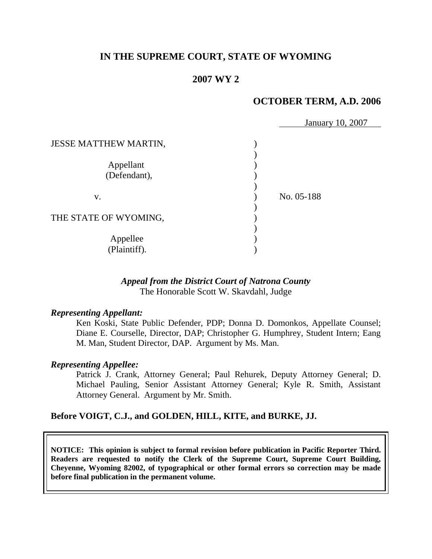### **IN THE SUPREME COURT, STATE OF WYOMING**

### **2007 WY 2**

### **OCTOBER TERM, A.D. 2006**

|                              | January 10, 2007 |
|------------------------------|------------------|
| <b>JESSE MATTHEW MARTIN,</b> |                  |
|                              |                  |
| Appellant                    |                  |
| (Defendant),                 |                  |
|                              |                  |
| V.                           | No. 05-188       |
|                              |                  |
| THE STATE OF WYOMING,        |                  |
|                              |                  |
| Appellee                     |                  |
| (Plaintiff).                 |                  |

#### *Appeal from the District Court of Natrona County* The Honorable Scott W. Skavdahl, Judge

#### *Representing Appellant:*

Ken Koski, State Public Defender, PDP; Donna D. Domonkos, Appellate Counsel; Diane E. Courselle, Director, DAP; Christopher G. Humphrey, Student Intern; Eang M. Man, Student Director, DAP. Argument by Ms. Man.

#### *Representing Appellee:*

Patrick J. Crank, Attorney General; Paul Rehurek, Deputy Attorney General; D. Michael Pauling, Senior Assistant Attorney General; Kyle R. Smith, Assistant Attorney General. Argument by Mr. Smith.

#### **Before VOIGT, C.J., and GOLDEN, HILL, KITE, and BURKE, JJ.**

**NOTICE: This opinion is subject to formal revision before publication in Pacific Reporter Third. Readers are requested to notify the Clerk of the Supreme Court, Supreme Court Building, Cheyenne, Wyoming 82002, of typographical or other formal errors so correction may be made before final publication in the permanent volume.**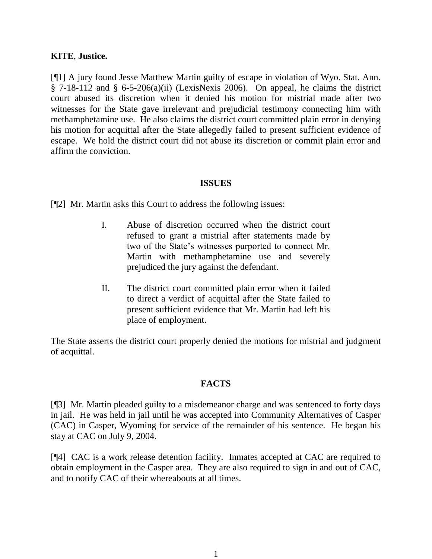### **KITE**, **Justice.**

[¶1] A jury found Jesse Matthew Martin guilty of escape in violation of Wyo. Stat. Ann.  $\S$  7-18-112 and  $\S$  6-5-206(a)(ii) (LexisNexis 2006). On appeal, he claims the district court abused its discretion when it denied his motion for mistrial made after two witnesses for the State gave irrelevant and prejudicial testimony connecting him with methamphetamine use. He also claims the district court committed plain error in denying his motion for acquittal after the State allegedly failed to present sufficient evidence of escape. We hold the district court did not abuse its discretion or commit plain error and affirm the conviction.

#### **ISSUES**

[¶2] Mr. Martin asks this Court to address the following issues:

- I. Abuse of discretion occurred when the district court refused to grant a mistrial after statements made by two of the State's witnesses purported to connect Mr. Martin with methamphetamine use and severely prejudiced the jury against the defendant.
- II. The district court committed plain error when it failed to direct a verdict of acquittal after the State failed to present sufficient evidence that Mr. Martin had left his place of employment.

The State asserts the district court properly denied the motions for mistrial and judgment of acquittal.

### **FACTS**

[¶3] Mr. Martin pleaded guilty to a misdemeanor charge and was sentenced to forty days in jail. He was held in jail until he was accepted into Community Alternatives of Casper (CAC) in Casper, Wyoming for service of the remainder of his sentence. He began his stay at CAC on July 9, 2004.

[¶4] CAC is a work release detention facility. Inmates accepted at CAC are required to obtain employment in the Casper area. They are also required to sign in and out of CAC, and to notify CAC of their whereabouts at all times.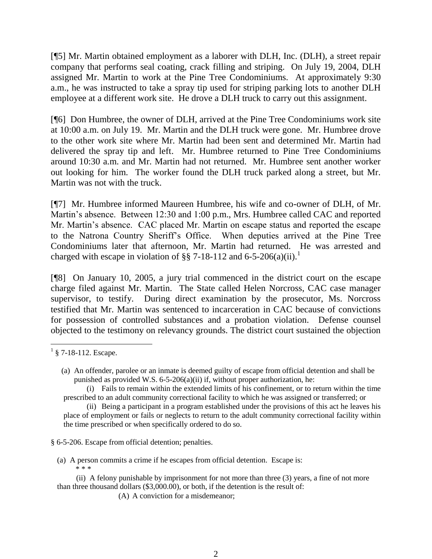[¶5] Mr. Martin obtained employment as a laborer with DLH, Inc. (DLH), a street repair company that performs seal coating, crack filling and striping. On July 19, 2004, DLH assigned Mr. Martin to work at the Pine Tree Condominiums. At approximately 9:30 a.m., he was instructed to take a spray tip used for striping parking lots to another DLH employee at a different work site. He drove a DLH truck to carry out this assignment.

[¶6] Don Humbree, the owner of DLH, arrived at the Pine Tree Condominiums work site at 10:00 a.m. on July 19. Mr. Martin and the DLH truck were gone. Mr. Humbree drove to the other work site where Mr. Martin had been sent and determined Mr. Martin had delivered the spray tip and left. Mr. Humbree returned to Pine Tree Condominiums around 10:30 a.m. and Mr. Martin had not returned. Mr. Humbree sent another worker out looking for him. The worker found the DLH truck parked along a street, but Mr. Martin was not with the truck.

[¶7] Mr. Humbree informed Maureen Humbree, his wife and co-owner of DLH, of Mr. Martin's absence. Between 12:30 and 1:00 p.m., Mrs. Humbree called CAC and reported Mr. Martin's absence. CAC placed Mr. Martin on escape status and reported the escape to the Natrona Country Sheriff's Office. When deputies arrived at the Pine Tree Condominiums later that afternoon, Mr. Martin had returned. He was arrested and charged with escape in violation of §§ 7-18-112 and 6-5-206(a)(ii).<sup>1</sup>

[¶8] On January 10, 2005, a jury trial commenced in the district court on the escape charge filed against Mr. Martin. The State called Helen Norcross, CAC case manager supervisor, to testify. During direct examination by the prosecutor, Ms. Norcross testified that Mr. Martin was sentenced to incarceration in CAC because of convictions for possession of controlled substances and a probation violation. Defense counsel objected to the testimony on relevancy grounds. The district court sustained the objection

 $\overline{a}$ 

§ 6-5-206. Escape from official detention; penalties.

- (a) A person commits a crime if he escapes from official detention. Escape is: \* \* \*
- (ii) A felony punishable by imprisonment for not more than three (3) years, a fine of not more than three thousand dollars (\$3,000.00), or both, if the detention is the result of:
	- (A) A conviction for a misdemeanor;

 $1\,$  § 7-18-112. Escape.

<sup>(</sup>a) An offender, parolee or an inmate is deemed guilty of escape from official detention and shall be punished as provided W.S. 6-5-206(a)(ii) if, without proper authorization, he:

<sup>(</sup>i) Fails to remain within the extended limits of his confinement, or to return within the time prescribed to an adult community correctional facility to which he was assigned or transferred; or

<sup>(</sup>ii) Being a participant in a program established under the provisions of this act he leaves his place of employment or fails or neglects to return to the adult community correctional facility within the time prescribed or when specifically ordered to do so.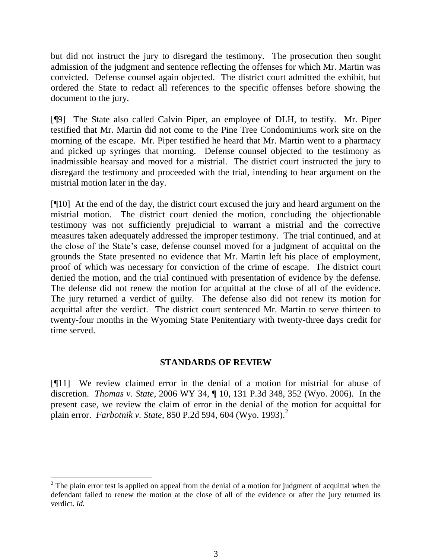but did not instruct the jury to disregard the testimony. The prosecution then sought admission of the judgment and sentence reflecting the offenses for which Mr. Martin was convicted. Defense counsel again objected. The district court admitted the exhibit, but ordered the State to redact all references to the specific offenses before showing the document to the jury.

[¶9] The State also called Calvin Piper, an employee of DLH, to testify. Mr. Piper testified that Mr. Martin did not come to the Pine Tree Condominiums work site on the morning of the escape. Mr. Piper testified he heard that Mr. Martin went to a pharmacy and picked up syringes that morning. Defense counsel objected to the testimony as inadmissible hearsay and moved for a mistrial. The district court instructed the jury to disregard the testimony and proceeded with the trial, intending to hear argument on the mistrial motion later in the day.

[¶10] At the end of the day, the district court excused the jury and heard argument on the mistrial motion. The district court denied the motion, concluding the objectionable testimony was not sufficiently prejudicial to warrant a mistrial and the corrective measures taken adequately addressed the improper testimony. The trial continued, and at the close of the State's case, defense counsel moved for a judgment of acquittal on the grounds the State presented no evidence that Mr. Martin left his place of employment, proof of which was necessary for conviction of the crime of escape. The district court denied the motion, and the trial continued with presentation of evidence by the defense. The defense did not renew the motion for acquittal at the close of all of the evidence. The jury returned a verdict of guilty. The defense also did not renew its motion for acquittal after the verdict. The district court sentenced Mr. Martin to serve thirteen to twenty-four months in the Wyoming State Penitentiary with twenty-three days credit for time served.

### **STANDARDS OF REVIEW**

[¶11] We review claimed error in the denial of a motion for mistrial for abuse of discretion. *Thomas v. State*, 2006 WY 34, ¶ 10, 131 P.3d 348, 352 (Wyo. 2006). In the present case, we review the claim of error in the denial of the motion for acquittal for plain error. *Farbotnik v. State*, 850 P.2d 594, 604 (Wyo. 1993).<sup>2</sup>

 $2$  The plain error test is applied on appeal from the denial of a motion for judgment of acquittal when the defendant failed to renew the motion at the close of all of the evidence or after the jury returned its verdict. *Id.*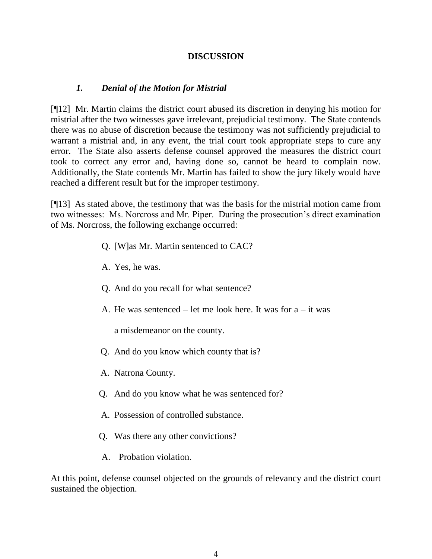### **DISCUSSION**

## *1. Denial of the Motion for Mistrial*

[¶12] Mr. Martin claims the district court abused its discretion in denying his motion for mistrial after the two witnesses gave irrelevant, prejudicial testimony. The State contends there was no abuse of discretion because the testimony was not sufficiently prejudicial to warrant a mistrial and, in any event, the trial court took appropriate steps to cure any error. The State also asserts defense counsel approved the measures the district court took to correct any error and, having done so, cannot be heard to complain now. Additionally, the State contends Mr. Martin has failed to show the jury likely would have reached a different result but for the improper testimony.

[¶13] As stated above, the testimony that was the basis for the mistrial motion came from two witnesses: Ms. Norcross and Mr. Piper. During the prosecution's direct examination of Ms. Norcross, the following exchange occurred:

- Q. [W]as Mr. Martin sentenced to CAC?
- A. Yes, he was.
- Q. And do you recall for what sentence?
- A. He was sentenced let me look here. It was for  $a it$  was

a misdemeanor on the county.

- Q. And do you know which county that is?
- A. Natrona County.
- Q. And do you know what he was sentenced for?
- A. Possession of controlled substance.
- Q. Was there any other convictions?
- A. Probation violation.

At this point, defense counsel objected on the grounds of relevancy and the district court sustained the objection.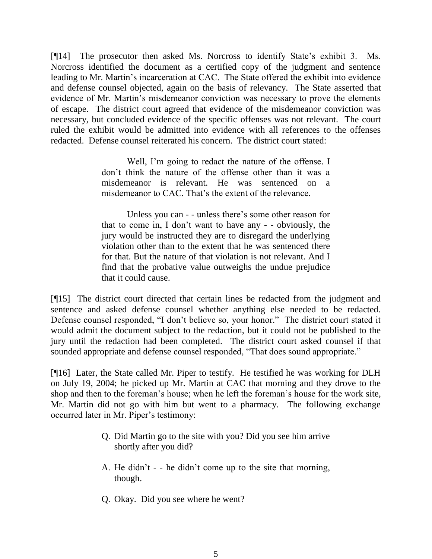[¶14] The prosecutor then asked Ms. Norcross to identify State's exhibit 3. Ms. Norcross identified the document as a certified copy of the judgment and sentence leading to Mr. Martin's incarceration at CAC. The State offered the exhibit into evidence and defense counsel objected, again on the basis of relevancy. The State asserted that evidence of Mr. Martin's misdemeanor conviction was necessary to prove the elements of escape. The district court agreed that evidence of the misdemeanor conviction was necessary, but concluded evidence of the specific offenses was not relevant. The court ruled the exhibit would be admitted into evidence with all references to the offenses redacted. Defense counsel reiterated his concern. The district court stated:

> Well, I'm going to redact the nature of the offense. I don't think the nature of the offense other than it was a misdemeanor is relevant. He was sentenced on a misdemeanor to CAC. That's the extent of the relevance.

> Unless you can - - unless there's some other reason for that to come in, I don't want to have any - - obviously, the jury would be instructed they are to disregard the underlying violation other than to the extent that he was sentenced there for that. But the nature of that violation is not relevant. And I find that the probative value outweighs the undue prejudice that it could cause.

[¶15] The district court directed that certain lines be redacted from the judgment and sentence and asked defense counsel whether anything else needed to be redacted. Defense counsel responded, "I don't believe so, your honor." The district court stated it would admit the document subject to the redaction, but it could not be published to the jury until the redaction had been completed. The district court asked counsel if that sounded appropriate and defense counsel responded, "That does sound appropriate."

[¶16] Later, the State called Mr. Piper to testify. He testified he was working for DLH on July 19, 2004; he picked up Mr. Martin at CAC that morning and they drove to the shop and then to the foreman's house; when he left the foreman's house for the work site, Mr. Martin did not go with him but went to a pharmacy. The following exchange occurred later in Mr. Piper's testimony:

- Q. Did Martin go to the site with you? Did you see him arrive shortly after you did?
- A. He didn't - he didn't come up to the site that morning, though.
- Q. Okay. Did you see where he went?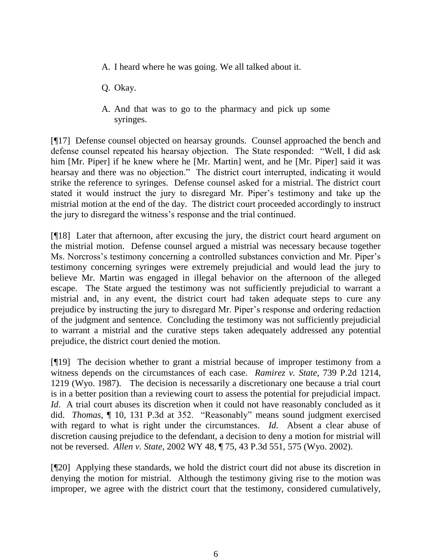- A. I heard where he was going. We all talked about it.
- Q. Okay.
- A. And that was to go to the pharmacy and pick up some syringes.

[¶17] Defense counsel objected on hearsay grounds. Counsel approached the bench and defense counsel repeated his hearsay objection. The State responded: "Well, I did ask him [Mr. Piper] if he knew where he [Mr. Martin] went, and he [Mr. Piper] said it was hearsay and there was no objection." The district court interrupted, indicating it would strike the reference to syringes. Defense counsel asked for a mistrial. The district court stated it would instruct the jury to disregard Mr. Piper's testimony and take up the mistrial motion at the end of the day. The district court proceeded accordingly to instruct the jury to disregard the witness's response and the trial continued.

[¶18] Later that afternoon, after excusing the jury, the district court heard argument on the mistrial motion. Defense counsel argued a mistrial was necessary because together Ms. Norcross's testimony concerning a controlled substances conviction and Mr. Piper's testimony concerning syringes were extremely prejudicial and would lead the jury to believe Mr. Martin was engaged in illegal behavior on the afternoon of the alleged escape. The State argued the testimony was not sufficiently prejudicial to warrant a mistrial and, in any event, the district court had taken adequate steps to cure any prejudice by instructing the jury to disregard Mr. Piper's response and ordering redaction of the judgment and sentence. Concluding the testimony was not sufficiently prejudicial to warrant a mistrial and the curative steps taken adequately addressed any potential prejudice, the district court denied the motion.

[¶19] The decision whether to grant a mistrial because of improper testimony from a witness depends on the circumstances of each case. *Ramirez v. State*, 739 P.2d 1214, 1219 (Wyo. 1987). The decision is necessarily a discretionary one because a trial court is in a better position than a reviewing court to assess the potential for prejudicial impact. *Id.* A trial court abuses its discretion when it could not have reasonably concluded as it did. *Thomas*, ¶ 10, 131 P.3d at 352. "Reasonably" means sound judgment exercised with regard to what is right under the circumstances. *Id*. Absent a clear abuse of discretion causing prejudice to the defendant, a decision to deny a motion for mistrial will not be reversed. *Allen v. State*, 2002 WY 48, ¶ 75, 43 P.3d 551, 575 (Wyo. 2002).

[¶20] Applying these standards, we hold the district court did not abuse its discretion in denying the motion for mistrial. Although the testimony giving rise to the motion was improper, we agree with the district court that the testimony, considered cumulatively,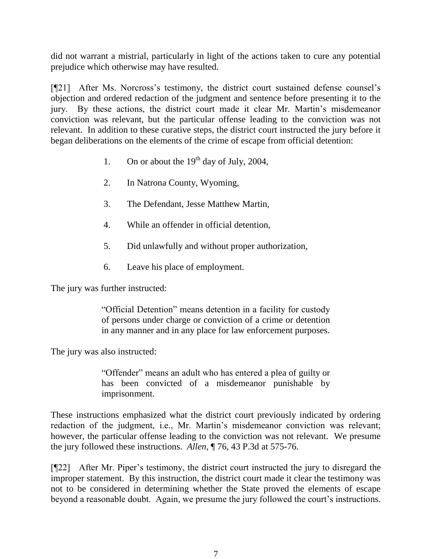did not warrant a mistrial, particularly in light of the actions taken to cure any potential prejudice which otherwise may have resulted.

[¶21] After Ms. Norcross's testimony, the district court sustained defense counsel's objection and ordered redaction of the judgment and sentence before presenting it to the jury. By these actions, the district court made it clear Mr. Martin's misdemeanor conviction was relevant, but the particular offense leading to the conviction was not relevant. In addition to these curative steps, the district court instructed the jury before it began deliberations on the elements of the crime of escape from official detention:

- 1. On or about the  $19<sup>th</sup>$  day of July, 2004,
- 2. In Natrona County, Wyoming,
- 3. The Defendant, Jesse Matthew Martin,
- 4. While an offender in official detention,
- 5. Did unlawfully and without proper authorization,
- 6. Leave his place of employment.

The jury was further instructed:

"Official Detention" means detention in a facility for custody of persons under charge or conviction of a crime or detention in any manner and in any place for law enforcement purposes.

The jury was also instructed:

"Offender" means an adult who has entered a plea of guilty or has been convicted of a misdemeanor punishable by imprisonment.

These instructions emphasized what the district court previously indicated by ordering redaction of the judgment, i.e., Mr. Martin's misdemeanor conviction was relevant; however, the particular offense leading to the conviction was not relevant. We presume the jury followed these instructions. *Allen*, ¶ 76, 43 P.3d at 575-76.

[¶22] After Mr. Piper's testimony, the district court instructed the jury to disregard the improper statement. By this instruction, the district court made it clear the testimony was not to be considered in determining whether the State proved the elements of escape beyond a reasonable doubt. Again, we presume the jury followed the court's instructions.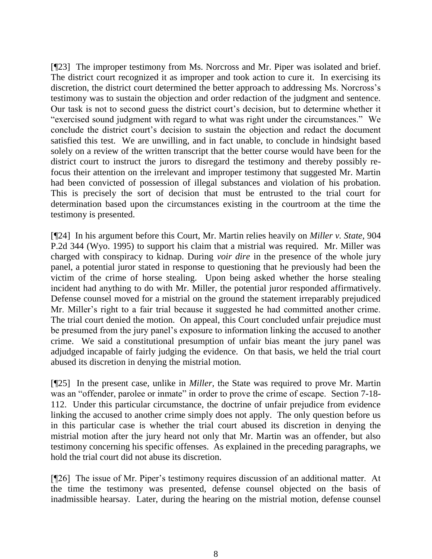[¶23] The improper testimony from Ms. Norcross and Mr. Piper was isolated and brief. The district court recognized it as improper and took action to cure it. In exercising its discretion, the district court determined the better approach to addressing Ms. Norcross's testimony was to sustain the objection and order redaction of the judgment and sentence. Our task is not to second guess the district court's decision, but to determine whether it "exercised sound judgment with regard to what was right under the circumstances." We conclude the district court's decision to sustain the objection and redact the document satisfied this test. We are unwilling, and in fact unable, to conclude in hindsight based solely on a review of the written transcript that the better course would have been for the district court to instruct the jurors to disregard the testimony and thereby possibly refocus their attention on the irrelevant and improper testimony that suggested Mr. Martin had been convicted of possession of illegal substances and violation of his probation. This is precisely the sort of decision that must be entrusted to the trial court for determination based upon the circumstances existing in the courtroom at the time the testimony is presented.

[¶24] In his argument before this Court, Mr. Martin relies heavily on *Miller v. State*, 904 P.2d 344 (Wyo. 1995) to support his claim that a mistrial was required. Mr. Miller was charged with conspiracy to kidnap. During *voir dire* in the presence of the whole jury panel, a potential juror stated in response to questioning that he previously had been the victim of the crime of horse stealing. Upon being asked whether the horse stealing incident had anything to do with Mr. Miller, the potential juror responded affirmatively. Defense counsel moved for a mistrial on the ground the statement irreparably prejudiced Mr. Miller's right to a fair trial because it suggested he had committed another crime. The trial court denied the motion. On appeal, this Court concluded unfair prejudice must be presumed from the jury panel's exposure to information linking the accused to another crime. We said a constitutional presumption of unfair bias meant the jury panel was adjudged incapable of fairly judging the evidence. On that basis, we held the trial court abused its discretion in denying the mistrial motion.

[¶25] In the present case, unlike in *Miller,* the State was required to prove Mr. Martin was an "offender, parolee or inmate" in order to prove the crime of escape. Section 7-18-112. Under this particular circumstance, the doctrine of unfair prejudice from evidence linking the accused to another crime simply does not apply. The only question before us in this particular case is whether the trial court abused its discretion in denying the mistrial motion after the jury heard not only that Mr. Martin was an offender, but also testimony concerning his specific offenses. As explained in the preceding paragraphs, we hold the trial court did not abuse its discretion.

[¶26] The issue of Mr. Piper's testimony requires discussion of an additional matter. At the time the testimony was presented, defense counsel objected on the basis of inadmissible hearsay. Later, during the hearing on the mistrial motion, defense counsel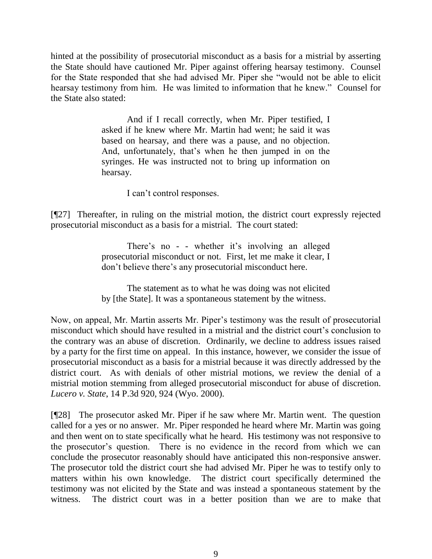hinted at the possibility of prosecutorial misconduct as a basis for a mistrial by asserting the State should have cautioned Mr. Piper against offering hearsay testimony. Counsel for the State responded that she had advised Mr. Piper she "would not be able to elicit hearsay testimony from him. He was limited to information that he knew." Counsel for the State also stated:

> And if I recall correctly, when Mr. Piper testified, I asked if he knew where Mr. Martin had went; he said it was based on hearsay, and there was a pause, and no objection. And, unfortunately, that's when he then jumped in on the syringes. He was instructed not to bring up information on hearsay.

> > I can't control responses.

[¶27] Thereafter, in ruling on the mistrial motion, the district court expressly rejected prosecutorial misconduct as a basis for a mistrial. The court stated:

> There's no - - whether it's involving an alleged prosecutorial misconduct or not. First, let me make it clear, I don't believe there's any prosecutorial misconduct here.

> The statement as to what he was doing was not elicited by [the State]. It was a spontaneous statement by the witness.

Now, on appeal, Mr. Martin asserts Mr. Piper's testimony was the result of prosecutorial misconduct which should have resulted in a mistrial and the district court's conclusion to the contrary was an abuse of discretion. Ordinarily, we decline to address issues raised by a party for the first time on appeal. In this instance, however, we consider the issue of prosecutorial misconduct as a basis for a mistrial because it was directly addressed by the district court. As with denials of other mistrial motions, we review the denial of a mistrial motion stemming from alleged prosecutorial misconduct for abuse of discretion. *Lucero v. State*, 14 P.3d 920, 924 (Wyo. 2000).

[¶28] The prosecutor asked Mr. Piper if he saw where Mr. Martin went. The question called for a yes or no answer. Mr. Piper responded he heard where Mr. Martin was going and then went on to state specifically what he heard. His testimony was not responsive to the prosecutor's question. There is no evidence in the record from which we can conclude the prosecutor reasonably should have anticipated this non-responsive answer. The prosecutor told the district court she had advised Mr. Piper he was to testify only to matters within his own knowledge. The district court specifically determined the testimony was not elicited by the State and was instead a spontaneous statement by the witness. The district court was in a better position than we are to make that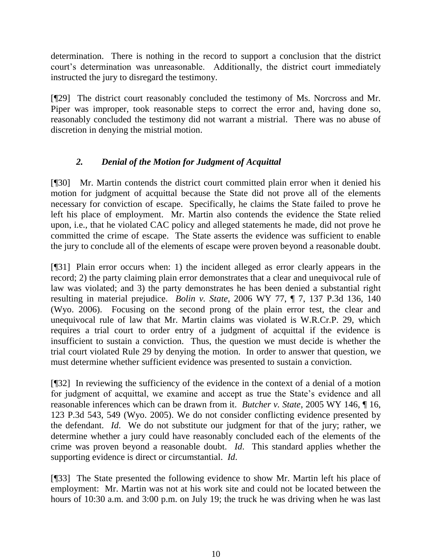determination. There is nothing in the record to support a conclusion that the district court's determination was unreasonable. Additionally, the district court immediately instructed the jury to disregard the testimony.

[¶29] The district court reasonably concluded the testimony of Ms. Norcross and Mr. Piper was improper, took reasonable steps to correct the error and, having done so, reasonably concluded the testimony did not warrant a mistrial. There was no abuse of discretion in denying the mistrial motion.

# *2. Denial of the Motion for Judgment of Acquittal*

[¶30] Mr. Martin contends the district court committed plain error when it denied his motion for judgment of acquittal because the State did not prove all of the elements necessary for conviction of escape. Specifically, he claims the State failed to prove he left his place of employment. Mr. Martin also contends the evidence the State relied upon, i.e., that he violated CAC policy and alleged statements he made, did not prove he committed the crime of escape. The State asserts the evidence was sufficient to enable the jury to conclude all of the elements of escape were proven beyond a reasonable doubt.

[¶31] Plain error occurs when: 1) the incident alleged as error clearly appears in the record; 2) the party claiming plain error demonstrates that a clear and unequivocal rule of law was violated; and 3) the party demonstrates he has been denied a substantial right resulting in material prejudice. *Bolin v. State*, 2006 WY 77, ¶ 7, 137 P.3d 136, 140 (Wyo. 2006). Focusing on the second prong of the plain error test, the clear and unequivocal rule of law that Mr. Martin claims was violated is W.R.Cr.P. 29, which requires a trial court to order entry of a judgment of acquittal if the evidence is insufficient to sustain a conviction. Thus, the question we must decide is whether the trial court violated Rule 29 by denying the motion. In order to answer that question, we must determine whether sufficient evidence was presented to sustain a conviction.

[¶32] In reviewing the sufficiency of the evidence in the context of a denial of a motion for judgment of acquittal, we examine and accept as true the State's evidence and all reasonable inferences which can be drawn from it. *Butcher v. State*, 2005 WY 146, ¶ 16, 123 P.3d 543, 549 (Wyo. 2005). We do not consider conflicting evidence presented by the defendant. *Id*. We do not substitute our judgment for that of the jury; rather, we determine whether a jury could have reasonably concluded each of the elements of the crime was proven beyond a reasonable doubt. *Id*. This standard applies whether the supporting evidence is direct or circumstantial. *Id*.

[¶33] The State presented the following evidence to show Mr. Martin left his place of employment: Mr. Martin was not at his work site and could not be located between the hours of 10:30 a.m. and 3:00 p.m. on July 19; the truck he was driving when he was last